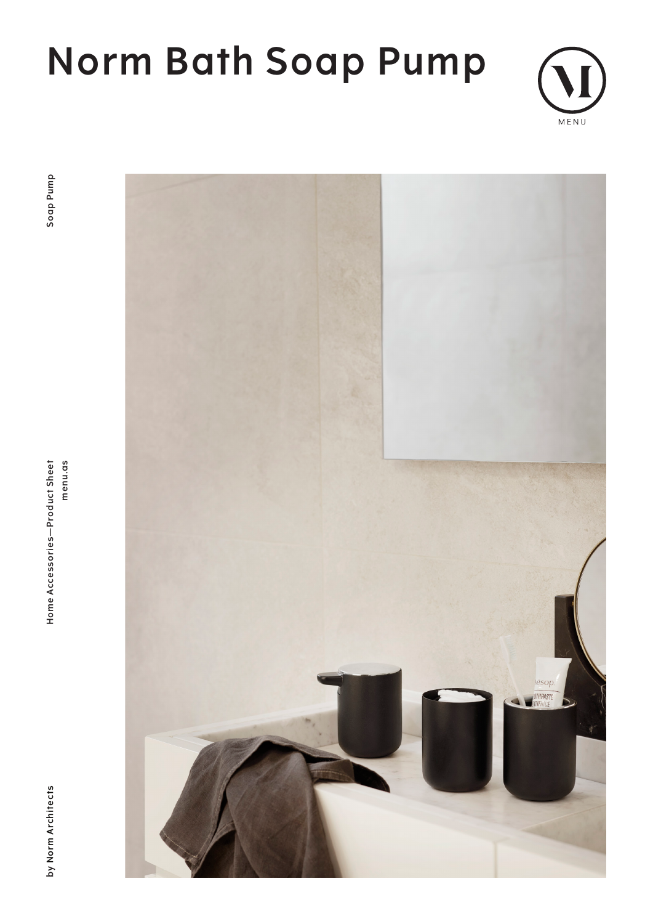# **Norm Bath Soap Pump**



**by Norm Architects Home Accessories—Product Sheet menu.as Soap Pump**Home Accessories-Product Sheet menu.as



by Norm Architects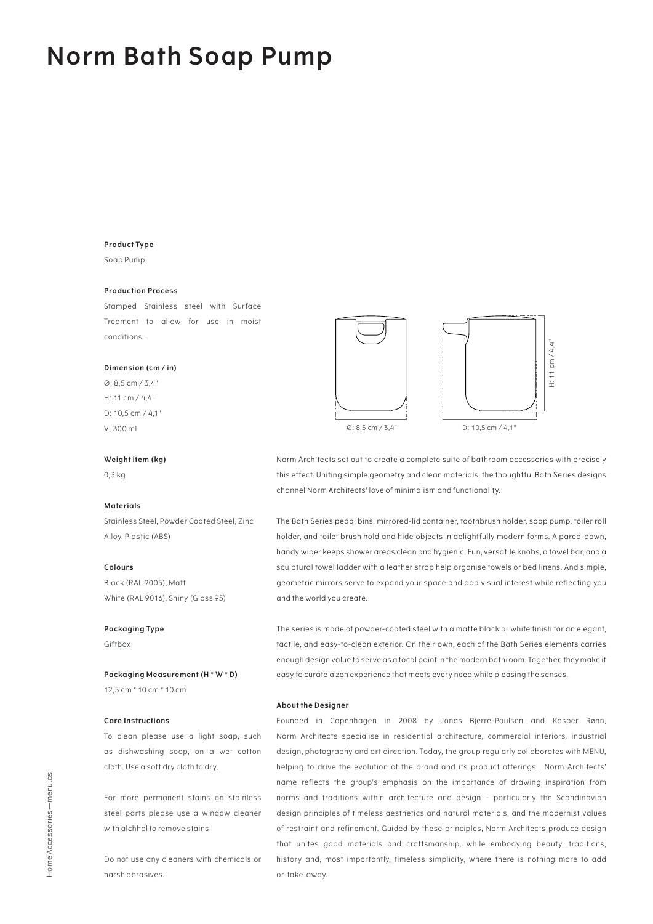### **Norm Bath Soap Pump**

#### **Product Type**

Soap Pump

#### **Production Process**

Stamped Stainless steel with Surface Treament to allow for use in moist conditions.

#### **Dimension (cm / in)**

Ø: 8,5 cm / 3,4" H: 11 cm / 4,4" D: 10,5 cm / 4,1" V: 300 ml

#### **Weight item (kg)**

0,3 kg

#### **Materials**

Stainless Steel, Powder Coated Steel, Zinc Alloy, Plastic (ABS)

#### **Colours**

Black (RAL 9005), Matt White (RAL 9016), Shiny (Gloss 95)

#### **Packaging Type**

Giftbox

**Packaging Measurement (H \* W \* D)** 12,5 cm \* 10 cm \* 10 cm

#### **Care Instructions**

To clean please use a light soap, such as dishwashing soap, on a wet cotton cloth. Use a soft dry cloth to dry.

For more permanent stains on stainless steel parts please use a window cleaner with alchhol to remove stains

Do not use any cleaners with chemicals or harsh abrasives.





Norm Architects set out to create a complete suite of bathroom accessories with precisely this effect. Uniting simple geometry and clean materials, the thoughtful Bath Series designs channel Norm Architects' love of minimalism and functionality.

The Bath Series pedal bins, mirrored-lid container, toothbrush holder, soap pump, toiler roll holder, and toilet brush hold and hide objects in delightfully modern forms. A pared-down, handy wiper keeps shower areas clean and hygienic. Fun, versatile knobs, a towel bar, and a sculptural towel ladder with a leather strap help organise towels or bed linens. And simple, geometric mirrors serve to expand your space and add visual interest while reflecting you and the world you create.

The series is made of powder-coated steel with a matte black or white finish for an elegant, tactile, and easy-to-clean exterior. On their own, each of the Bath Series elements carries enough design value to serve as a focal point in the modern bathroom. Together, they make it easy to curate a zen experience that meets every need while pleasing the senses.

#### **About the Designer**

Founded in Copenhagen in 2008 by Jonas Bjerre-Poulsen and Kasper Rønn, Norm Architects specialise in residential architecture, commercial interiors, industrial design, photography and art direction. Today, the group regularly collaborates with MENU, helping to drive the evolution of the brand and its product offerings. Norm Architects' name reflects the group's emphasis on the importance of drawing inspiration from norms and traditions within architecture and design – particularly the Scandinavian design principles of timeless aesthetics and natural materials, and the modernist values of restraint and refinement. Guided by these principles, Norm Architects produce design that unites good materials and craftsmanship, while embodying beauty, traditions, history and, most importantly, timeless simplicity, where there is nothing more to add or take away.